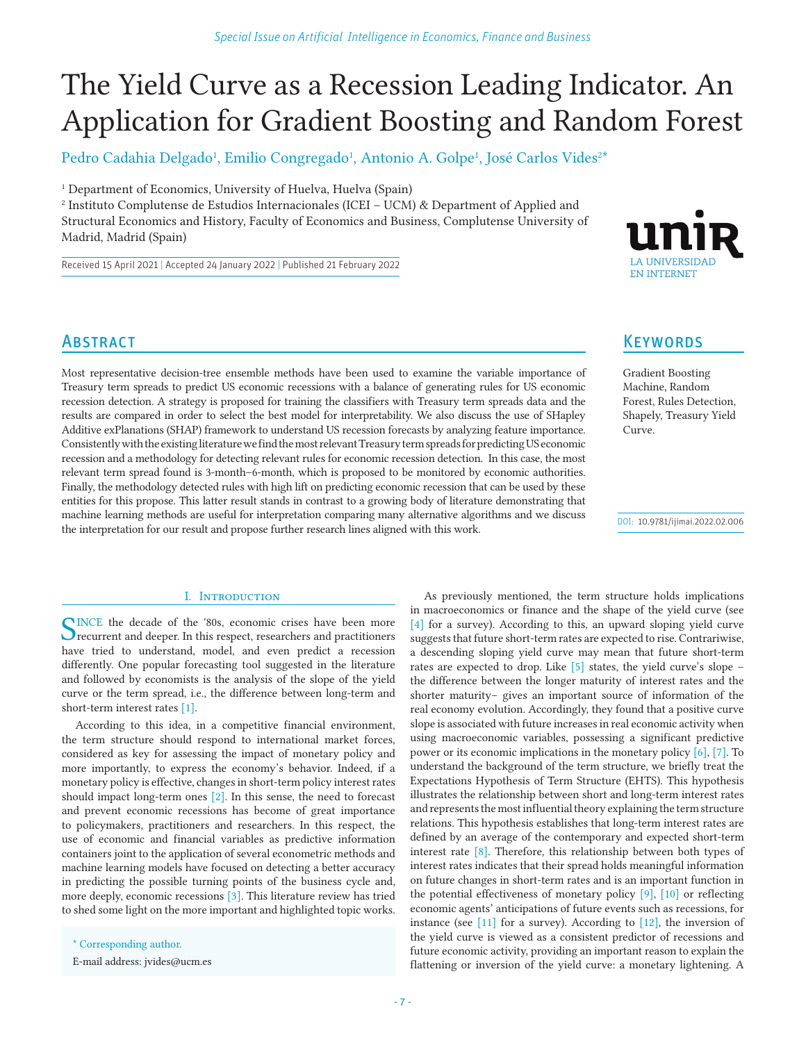# The Yield Curve as a Recession Leading Indicator. An Application for Gradient Boosting and Random Forest

Pedro Cadahia Delgado<sup>1</sup>, Emilio Congregado<sup>1</sup>, Antonio A. Golpe<sup>1</sup>, José Carlos Vides<sup>2\*</sup>

<sup>1</sup> Department of Economics, University of Huelva, Huelva (Spain)

<sup>2</sup> Instituto Complutense de Estudios Internacionales (ICEI – UCM) & Department of Applied and Structural Economics and History, Faculty of Economics and Business, Complutense University of Madrid, Madrid (Spain)

Received 15 April 2021 | Accepted 24 January 2022 | Published 21 February 2022



# **ABSTRACT**

Most representative decision-tree ensemble methods have been used to examine the variable importance of Treasury term spreads to predict US economic recessions with a balance of generating rules for US economic recession detection. A strategy is proposed for training the classifiers with Treasury term spreads data and the results are compared in order to select the best model for interpretability. We also discuss the use of SHapley Additive exPlanations (SHAP) framework to understand US recession forecasts by analyzing feature importance. Consistently with the existing literature we find the most relevant Treasury term spreads for predicting US economic recession and a methodology for detecting relevant rules for economic recession detection. In this case, the most relevant term spread found is 3-month–6-month, which is proposed to be monitored by economic authorities. Finally, the methodology detected rules with high lift on predicting economic recession that can be used by these entities for this propose. This latter result stands in contrast to a growing body of literature demonstrating that machine learning methods are useful for interpretation comparing many alternative algorithms and we discuss the interpretation for our result and propose further research lines aligned with this work.

# I. INTRODUCTION

SINCE the decade of the '80s, economic crises have been more recurrent and deeper. In this respect, researchers and practitioners have tried to understand, model, and even predict a recession differently. One popular forecasting tool suggested in the literature and followed by economists is the analysis of the slope of the yield curve or the term spread, i.e., the difference between long-term and short-term interest rates [1].

According to this idea, in a competitive financial environment, the term structure should respond to international market forces, considered as key for assessing the impact of monetary policy and more importantly, to express the economy's behavior. Indeed, if a monetary policy is effective, changes in short-term policy interest rates should impact long-term ones [2]. In this sense, the need to forecast and prevent economic recessions has become of great importance to policymakers, practitioners and researchers. In this respect, the use of economic and financial variables as predictive information containers joint to the application of several econometric methods and machine learning models have focused on detecting a better accuracy in predicting the possible turning points of the business cycle and, more deeply, economic recessions [3]. This literature review has tried to shed some light on the more important and highlighted topic works.

# **KEYWORDS**

Gradient Boosting Machine, Random Forest, Rules Detection, Shapely, Treasury Yield Curve.

DOI: 10.9781/ijimai.2022.02.006

As previously mentioned, the term structure holds implications in macroeconomics or finance and the shape of the yield curve (see [4] for a survey). According to this, an upward sloping yield curve suggests that future short-term rates are expected to rise. Contrariwise, a descending sloping yield curve may mean that future short-term rates are expected to drop. Like  $\lceil 5 \rceil$  states, the yield curve's slope – the difference between the longer maturity of interest rates and the shorter maturity– gives an important source of information of the real economy evolution. Accordingly, they found that a positive curve slope is associated with future increases in real economic activity when using macroeconomic variables, possessing a significant predictive power or its economic implications in the monetary policy [6], [7]. To understand the background of the term structure, we briefly treat the Expectations Hypothesis of Term Structure (EHTS). This hypothesis illustrates the relationship between short and long-term interest rates and represents the most influential theory explaining the term structure relations. This hypothesis establishes that long-term interest rates are defined by an average of the contemporary and expected short-term interest rate [8]. Therefore, this relationship between both types of interest rates indicates that their spread holds meaningful information on future changes in short-term rates and is an important function in the potential effectiveness of monetary policy [9], [10] or reflecting economic agents' anticipations of future events such as recessions, for instance (see  $[11]$  for a survey). According to  $[12]$ , the inversion of the yield curve is viewed as a consistent predictor of recessions and future economic activity, providing an important reason to explain the flattening or inversion of the yield curve: a monetary lightening. A

<sup>\*</sup> Corresponding author.

E-mail address: jvides@ucm.es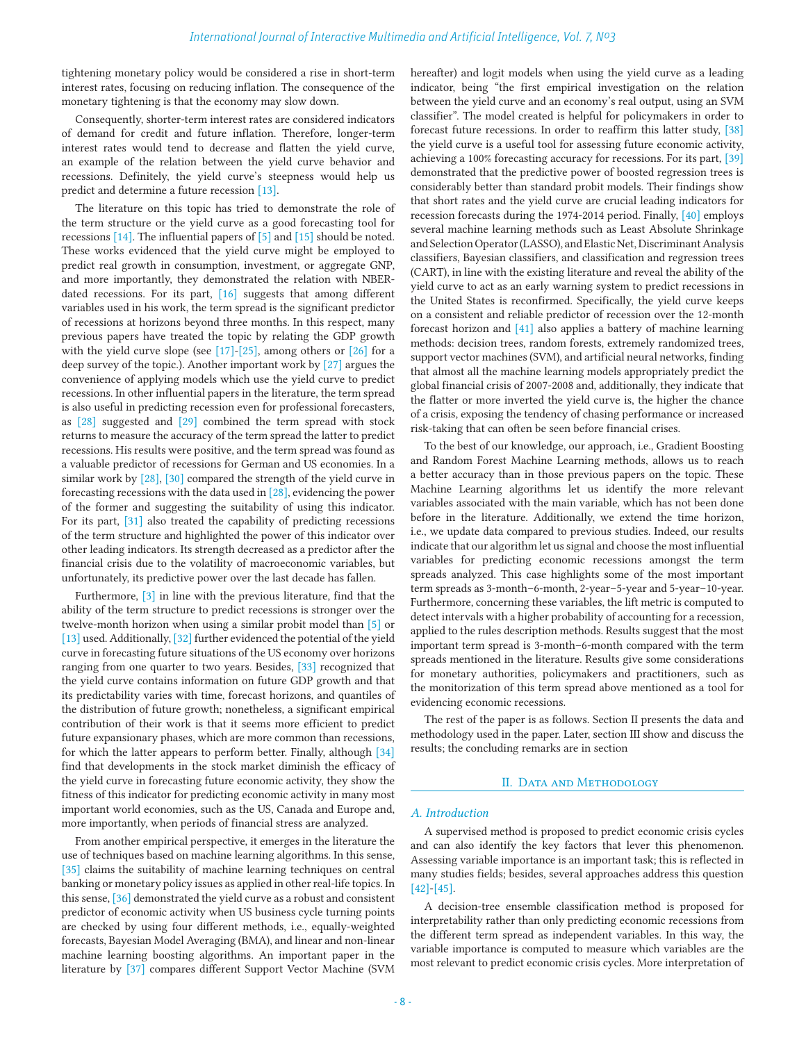tightening monetary policy would be considered a rise in short-term interest rates, focusing on reducing inflation. The consequence of the monetary tightening is that the economy may slow down.

Consequently, shorter-term interest rates are considered indicators of demand for credit and future inflation. Therefore, longer-term interest rates would tend to decrease and flatten the yield curve, an example of the relation between the yield curve behavior and recessions. Definitely, the yield curve's steepness would help us predict and determine a future recession [13].

The literature on this topic has tried to demonstrate the role of the term structure or the yield curve as a good forecasting tool for recessions [14]. The influential papers of [5] and [15] should be noted. These works evidenced that the yield curve might be employed to predict real growth in consumption, investment, or aggregate GNP, and more importantly, they demonstrated the relation with NBER‐ dated recessions. For its part, [16] suggests that among different variables used in his work, the term spread is the significant predictor of recessions at horizons beyond three months. In this respect, many previous papers have treated the topic by relating the GDP growth with the yield curve slope (see  $[17]-[25]$ , among others or  $[26]$  for a deep survey of the topic.). Another important work by  $[27]$  argues the convenience of applying models which use the yield curve to predict recessions. In other influential papers in the literature, the term spread is also useful in predicting recession even for professional forecasters, as [28] suggested and [29] combined the term spread with stock returns to measure the accuracy of the term spread the latter to predict recessions. His results were positive, and the term spread was found as a valuable predictor of recessions for German and US economies. In a similar work by [28], [30] compared the strength of the yield curve in forecasting recessions with the data used in [28], evidencing the power of the former and suggesting the suitability of using this indicator. For its part, [31] also treated the capability of predicting recessions of the term structure and highlighted the power of this indicator over other leading indicators. Its strength decreased as a predictor after the financial crisis due to the volatility of macroeconomic variables, but unfortunately, its predictive power over the last decade has fallen.

Furthermore, [3] in line with the previous literature, find that the ability of the term structure to predict recessions is stronger over the twelve-month horizon when using a similar probit model than [5] or [13] used. Additionally, [32] further evidenced the potential of the yield curve in forecasting future situations of the US economy over horizons ranging from one quarter to two years. Besides, [33] recognized that the yield curve contains information on future GDP growth and that its predictability varies with time, forecast horizons, and quantiles of the distribution of future growth; nonetheless, a significant empirical contribution of their work is that it seems more efficient to predict future expansionary phases, which are more common than recessions, for which the latter appears to perform better. Finally, although [34] find that developments in the stock market diminish the efficacy of the yield curve in forecasting future economic activity, they show the fitness of this indicator for predicting economic activity in many most important world economies, such as the US, Canada and Europe and, more importantly, when periods of financial stress are analyzed.

From another empirical perspective, it emerges in the literature the use of techniques based on machine learning algorithms. In this sense, [35] claims the suitability of machine learning techniques on central banking or monetary policy issues as applied in other real-life topics. In this sense, [36] demonstrated the yield curve as a robust and consistent predictor of economic activity when US business cycle turning points are checked by using four different methods, i.e., equally-weighted forecasts, Bayesian Model Averaging (BMA), and linear and non-linear machine learning boosting algorithms. An important paper in the literature by [37] compares different Support Vector Machine (SVM hereafter) and logit models when using the yield curve as a leading indicator, being "the first empirical investigation on the relation between the yield curve and an economy's real output, using an SVM classifier". The model created is helpful for policymakers in order to forecast future recessions. In order to reaffirm this latter study, [38] the yield curve is a useful tool for assessing future economic activity, achieving a 100% forecasting accuracy for recessions. For its part, [39] demonstrated that the predictive power of boosted regression trees is considerably better than standard probit models. Their findings show that short rates and the yield curve are crucial leading indicators for recession forecasts during the 1974-2014 period. Finally, [40] employs several machine learning methods such as Least Absolute Shrinkage and Selection Operator (LASSO), and Elastic Net, Discriminant Analysis classifiers, Bayesian classifiers, and classification and regression trees (CART), in line with the existing literature and reveal the ability of the yield curve to act as an early warning system to predict recessions in the United States is reconfirmed. Specifically, the yield curve keeps on a consistent and reliable predictor of recession over the 12-month forecast horizon and [41] also applies a battery of machine learning methods: decision trees, random forests, extremely randomized trees, support vector machines (SVM), and artificial neural networks, finding that almost all the machine learning models appropriately predict the global financial crisis of 2007-2008 and, additionally, they indicate that the flatter or more inverted the yield curve is, the higher the chance of a crisis, exposing the tendency of chasing performance or increased risk-taking that can often be seen before financial crises.

To the best of our knowledge, our approach, i.e., Gradient Boosting and Random Forest Machine Learning methods, allows us to reach a better accuracy than in those previous papers on the topic. These Machine Learning algorithms let us identify the more relevant variables associated with the main variable, which has not been done before in the literature. Additionally, we extend the time horizon, i.e., we update data compared to previous studies. Indeed, our results indicate that our algorithm let us signal and choose the most influential variables for predicting economic recessions amongst the term spreads analyzed. This case highlights some of the most important term spreads as 3-month–6-month, 2-year–5-year and 5-year–10-year. Furthermore, concerning these variables, the lift metric is computed to detect intervals with a higher probability of accounting for a recession, applied to the rules description methods. Results suggest that the most important term spread is 3-month–6-month compared with the term spreads mentioned in the literature. Results give some considerations for monetary authorities, policymakers and practitioners, such as the monitorization of this term spread above mentioned as a tool for evidencing economic recessions.

The rest of the paper is as follows. Section II presents the data and methodology used in the paper. Later, section III show and discuss the results; the concluding remarks are in section

# II. Data and Methodology

# *A. Introduction*

A supervised method is proposed to predict economic crisis cycles and can also identify the key factors that lever this phenomenon. Assessing variable importance is an important task; this is reflected in many studies fields; besides, several approaches address this question [42]-[45].

A decision-tree ensemble classification method is proposed for interpretability rather than only predicting economic recessions from the different term spread as independent variables. In this way, the variable importance is computed to measure which variables are the most relevant to predict economic crisis cycles. More interpretation of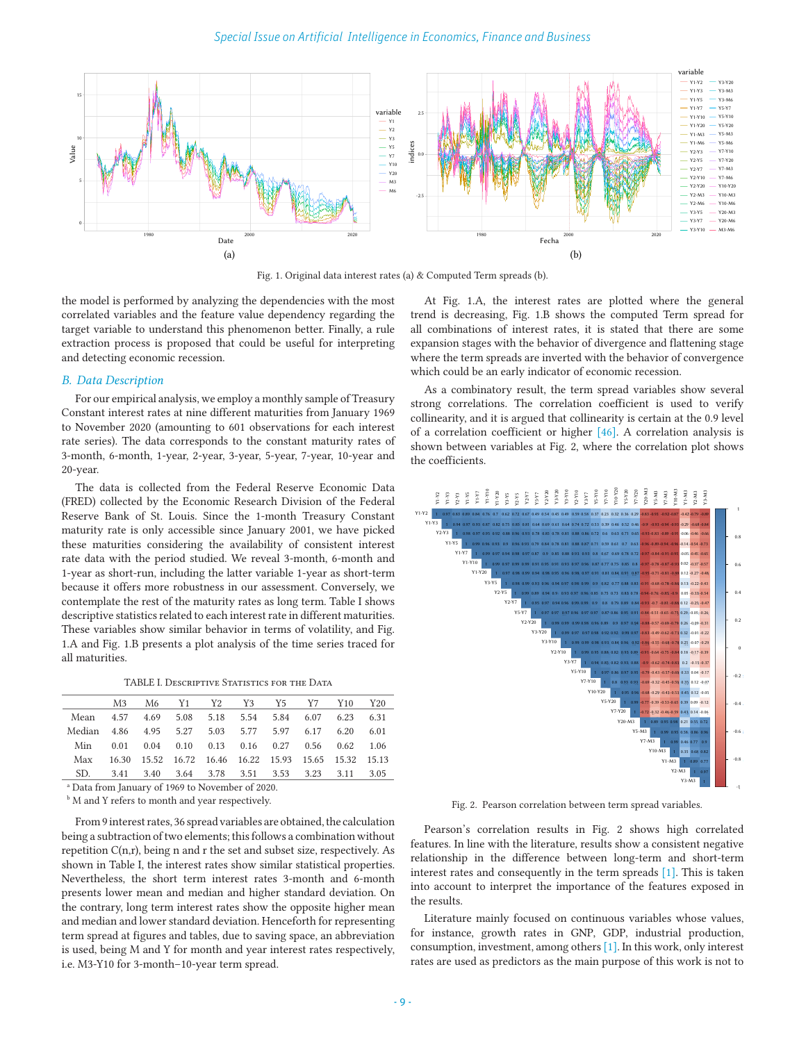

Fig. 1. Original data interest rates (a) & Computed Term spreads (b).

the model is performed by analyzing the dependencies with the most correlated variables and the feature value dependency regarding the target variable to understand this phenomenon better. Finally, a rule extraction process is proposed that could be useful for interpreting and detecting economic recession.

## *B. Data Description*

For our empirical analysis, we employ a monthly sample of Treasury Constant interest rates at nine different maturities from January 1969 to November 2020 (amounting to 601 observations for each interest rate series). The data corresponds to the constant maturity rates of 3-month, 6-month, 1-year, 2-year, 3-year, 5-year, 7-year, 10-year and 20-year.

The data is collected from the Federal Reserve Economic Data (FRED) collected by the Economic Research Division of the Federal Reserve Bank of St. Louis. Since the 1-month Treasury Constant maturity rate is only accessible since January 2001, we have picked these maturities considering the availability of consistent interest rate data with the period studied. We reveal 3-month, 6-month and 1-year as short-run, including the latter variable 1-year as short-term because it offers more robustness in our assessment. Conversely, we contemplate the rest of the maturity rates as long term. Table I shows descriptive statistics related to each interest rate in different maturities. These variables show similar behavior in terms of volatility, and Fig. 1.A and Fig. 1.B presents a plot analysis of the time series traced for all maturities.

TABLE I. Descriptive Statistics for the Data

|                                                     |  | M3 M6 Y1 Y2 Y3 Y5 Y7 Y10 Y20                          |  |  |  |
|-----------------------------------------------------|--|-------------------------------------------------------|--|--|--|
| Mean 4.57 4.69 5.08 5.18 5.54 5.84 6.07 6.23 6.31   |  |                                                       |  |  |  |
| Median 4.86 4.95 5.27 5.03 5.77 5.97 6.17 6.20 6.01 |  |                                                       |  |  |  |
| Min                                                 |  | 0.01 0.04 0.10 0.13 0.16 0.27 0.56 0.62 1.06          |  |  |  |
| Max                                                 |  | 16.30 15.52 16.72 16.46 16.22 15.93 15.65 15.32 15.13 |  |  |  |
| SD.                                                 |  | 3.41 3.40 3.64 3.78 3.51 3.53 3.23 3.11 3.05          |  |  |  |

a Data from January of 1969 to November of 2020.

**M** and Y refers to month and year respectively.

From 9 interest rates, 36 spread variables are obtained, the calculation being a subtraction of two elements; this follows a combination without repetition  $C(n,r)$ , being n and r the set and subset size, respectively. As shown in Table I, the interest rates show similar statistical properties. Nevertheless, the short term interest rates 3-month and 6-month presents lower mean and median and higher standard deviation. On the contrary, long term interest rates show the opposite higher mean and median and lower standard deviation. Henceforth for representing term spread at figures and tables, due to saving space, an abbreviation is used, being M and Y for month and year interest rates respectively, i.e. M3-Y10 for 3-month–10-year term spread.

At Fig. 1.A, the interest rates are plotted where the general trend is decreasing, Fig. 1.B shows the computed Term spread for all combinations of interest rates, it is stated that there are some expansion stages with the behavior of divergence and flattening stage where the term spreads are inverted with the behavior of convergence which could be an early indicator of economic recession.

As a combinatory result, the term spread variables show several strong correlations. The correlation coefficient is used to verify collinearity, and it is argued that collinearity is certain at the 0.9 level of a correlation coefficient or higher [46]. A correlation analysis is shown between variables at Fig. 2, where the correlation plot shows the coefficients.



Fig. 2. Pearson correlation between term spread variables.

Pearson's correlation results in Fig. 2 shows high correlated features. In line with the literature, results show a consistent negative relationship in the difference between long-term and short-term interest rates and consequently in the term spreads [1]. This is taken into account to interpret the importance of the features exposed in the results.

Literature mainly focused on continuous variables whose values, for instance, growth rates in GNP, GDP, industrial production, consumption, investment, among others [1]. In this work, only interest rates are used as predictors as the main purpose of this work is not to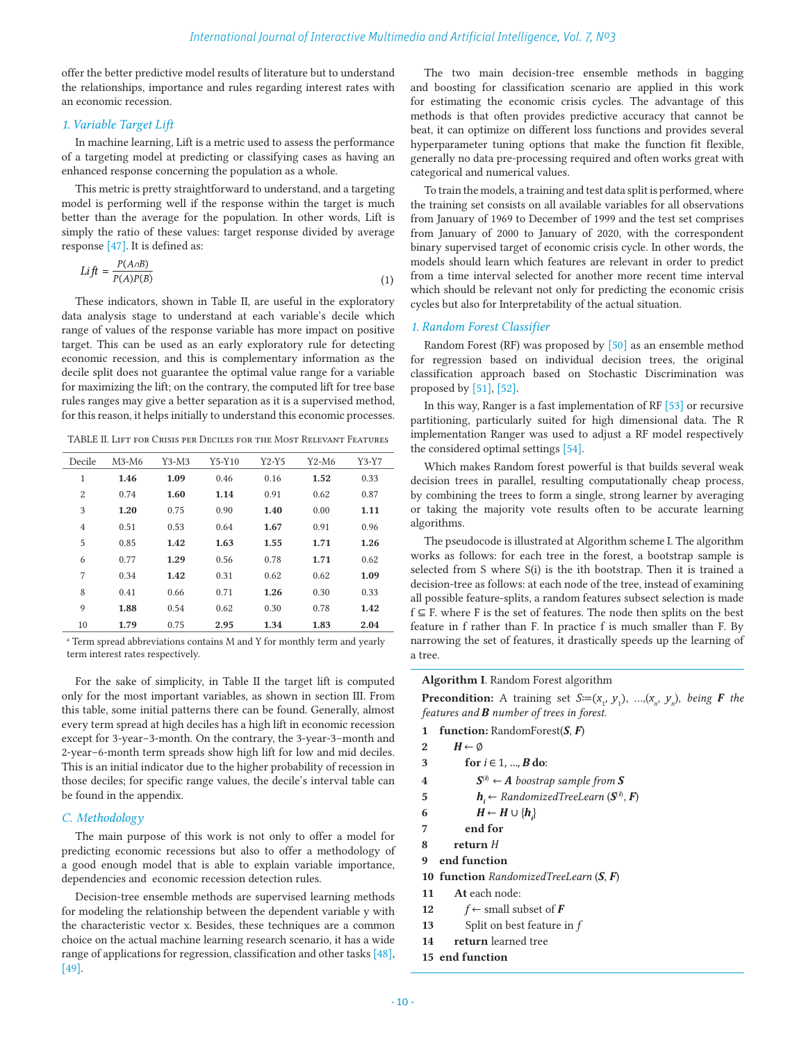offer the better predictive model results of literature but to understand the relationships, importance and rules regarding interest rates with an economic recession.

# *1. Variable Target Lift*

In machine learning, Lift is a metric used to assess the performance of a targeting model at predicting or classifying cases as having an enhanced response concerning the population as a whole.

This metric is pretty straightforward to understand, and a targeting model is performing well if the response within the target is much better than the average for the population. In other words, Lift is simply the ratio of these values: target response divided by average response [47]. It is defined as:

$$
Lift = \frac{P(A \cap B)}{P(A)P(B)}\tag{1}
$$

These indicators, shown in Table II, are useful in the exploratory data analysis stage to understand at each variable's decile which range of values of the response variable has more impact on positive target. This can be used as an early exploratory rule for detecting economic recession, and this is complementary information as the decile split does not guarantee the optimal value range for a variable for maximizing the lift; on the contrary, the computed lift for tree base rules ranges may give a better separation as it is a supervised method, for this reason, it helps initially to understand this economic processes.

TABLE II. Lift for Crisis per Deciles for the Most Relevant Features

| Decile         | $M3-M6$ | $Y3-M3$ | $Y5-Y10$ | $Y2-Y5$ | Y2-M6 | Y3-Y7 |
|----------------|---------|---------|----------|---------|-------|-------|
| 1              | 1.46    | 1.09    | 0.46     | 0.16    | 1.52  | 0.33  |
| $\overline{2}$ | 0.74    | 1.60    | 1.14     | 0.91    | 0.62  | 0.87  |
| 3              | 1.20    | 0.75    | 0.90     | 1.40    | 0.00  | 1.11  |
| 4              | 0.51    | 0.53    | 0.64     | 1.67    | 0.91  | 0.96  |
| 5              | 0.85    | 1.42    | 1.63     | 1.55    | 1.71  | 1.26  |
| 6              | 0.77    | 1.29    | 0.56     | 0.78    | 1.71  | 0.62  |
| 7              | 0.34    | 1.42    | 0.31     | 0.62    | 0.62  | 1.09  |
| 8              | 0.41    | 0.66    | 0.71     | 1.26    | 0.30  | 0.33  |
| 9              | 1.88    | 0.54    | 0.62     | 0.30    | 0.78  | 1.42  |
| 10             | 1.79    | 0.75    | 2.95     | 1.34    | 1.83  | 2.04  |

<sup>a</sup> Term spread abbreviations contains M and Y for monthly term and yearly term interest rates respectively.

For the sake of simplicity, in Table II the target lift is computed only for the most important variables, as shown in section III. From this table, some initial patterns there can be found. Generally, almost every term spread at high deciles has a high lift in economic recession except for 3-year–3-month. On the contrary, the 3-year-3–month and 2-year–6-month term spreads show high lift for low and mid deciles. This is an initial indicator due to the higher probability of recession in those deciles; for specific range values, the decile's interval table can be found in the appendix.

# *C. Methodology*

The main purpose of this work is not only to offer a model for predicting economic recessions but also to offer a methodology of a good enough model that is able to explain variable importance, dependencies and economic recession detection rules.

Decision-tree ensemble methods are supervised learning methods for modeling the relationship between the dependent variable y with the characteristic vector x. Besides, these techniques are a common choice on the actual machine learning research scenario, it has a wide range of applications for regression, classification and other tasks [48], [49].

The two main decision-tree ensemble methods in bagging and boosting for classification scenario are applied in this work for estimating the economic crisis cycles. The advantage of this methods is that often provides predictive accuracy that cannot be beat, it can optimize on different loss functions and provides several hyperparameter tuning options that make the function fit flexible, generally no data pre-processing required and often works great with categorical and numerical values.

To train the models, a training and test data split is performed, where the training set consists on all available variables for all observations from January of 1969 to December of 1999 and the test set comprises from January of 2000 to January of 2020, with the correspondent binary supervised target of economic crisis cycle. In other words, the models should learn which features are relevant in order to predict from a time interval selected for another more recent time interval which should be relevant not only for predicting the economic crisis cycles but also for Interpretability of the actual situation.

# *1. Random Forest Classifier*

Random Forest (RF) was proposed by [50] as an ensemble method for regression based on individual decision trees, the original classification approach based on Stochastic Discrimination was proposed by [51], [52].

In this way, Ranger is a fast implementation of RF [53] or recursive partitioning, particularly suited for high dimensional data. The R implementation Ranger was used to adjust a RF model respectively the considered optimal settings [54].

Which makes Random forest powerful is that builds several weak decision trees in parallel, resulting computationally cheap process, by combining the trees to form a single, strong learner by averaging or taking the majority vote results often to be accurate learning algorithms.

The pseudocode is illustrated at Algorithm scheme I. The algorithm works as follows: for each tree in the forest, a bootstrap sample is selected from S where S(i) is the ith bootstrap. Then it is trained a decision-tree as follows: at each node of the tree, instead of examining all possible feature-splits, a random features subsect selection is made f ⊆ F. where F is the set of features. The node then splits on the best feature in f rather than F. In practice f is much smaller than F. By narrowing the set of features, it drastically speeds up the learning of a tree.

**Algorithm I**. Random Forest algorithm

**Precondition:** A training set *S*≔( $x_1$ ,  $y_1$ ), ...,( $x_n$ ,  $y_n$ ), *being F the features and B number of trees in forest*.

- **1 function:** RandomForest(*S*, *F*)
- 2  $H \leftarrow \emptyset$
- **3 for**  $$
- **4**  $S^{(i)}$  ← *A boostrap sample from S*
- **5** *h***<sub>i</sub>** ← *RandomizedTreeLearn* ( $S^{(i)}$ ,  $F$ )
- 6 *H* ← *H* ∪  $\{h_i\}$
- **7 end for**
- **8 return** *H*
- **9 end function**
- **10 function** *RandomizedTreeLearn* (*S*, *F*)
- **11 At** each node:
- **12**  $f \leftarrow$  small subset of *F*
- **13** Split on best feature in *f*
- **14 return** learned tree
- **15 end function**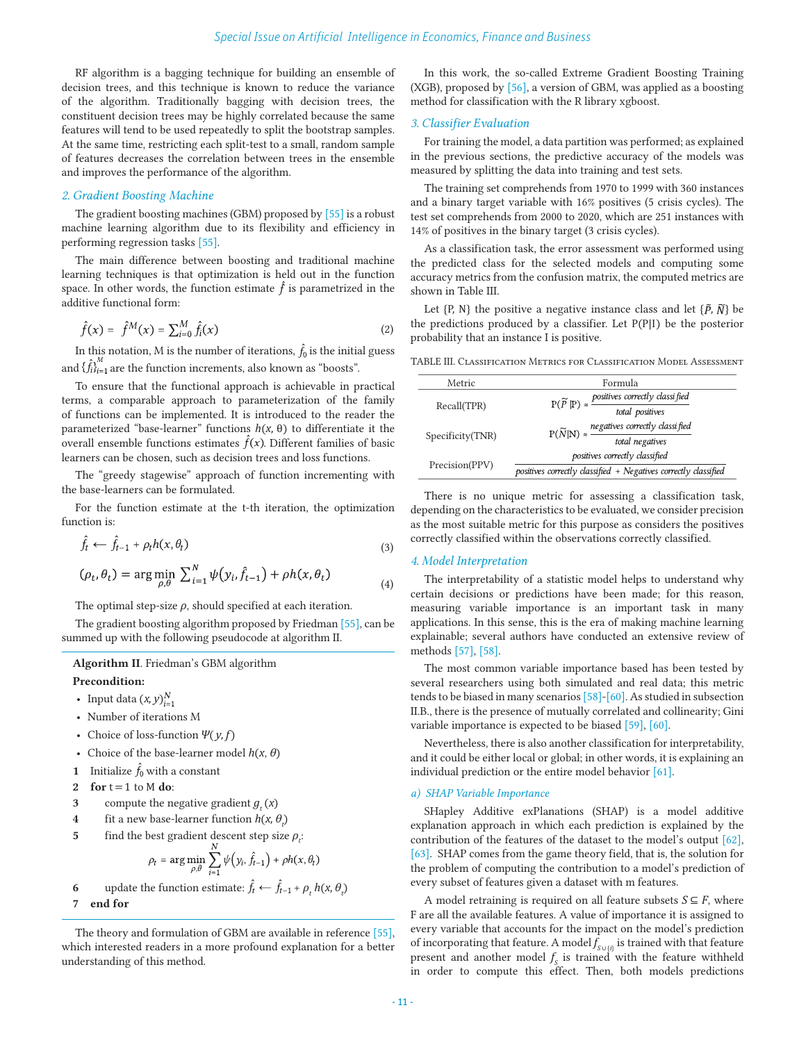RF algorithm is a bagging technique for building an ensemble of decision trees, and this technique is known to reduce the variance of the algorithm. Traditionally bagging with decision trees, the constituent decision trees may be highly correlated because the same features will tend to be used repeatedly to split the bootstrap samples. At the same time, restricting each split-test to a small, random sample of features decreases the correlation between trees in the ensemble and improves the performance of the algorithm.

# *2. Gradient Boosting Machine*

The gradient boosting machines (GBM) proposed by [55] is a robust machine learning algorithm due to its flexibility and efficiency in performing regression tasks [55].

The main difference between boosting and traditional machine learning techniques is that optimization is held out in the function space. In other words, the function estimate  $\hat{f}$  is parametrized in the additive functional form:

$$
\hat{f}(x) = \hat{f}^{M}(x) = \sum_{i=0}^{M} \hat{f}_{i}(x)
$$
\n(2)

In this notation, M is the number of iterations,  $\hat{f}_0$  is the initial guess and  $\{\hat{f}_i\}_{i=1}^n$  are the function increments, also known as "boosts".

To ensure that the functional approach is achievable in practical terms, a comparable approach to parameterization of the family of functions can be implemented. It is introduced to the reader the parameterized "base-learner" functions *h*(*x*, θ) to differentiate it the overall ensemble functions estimates  $\hat{f}(x)$ . Different families of basic learners can be chosen, such as decision trees and loss functions.

The "greedy stagewise" approach of function incrementing with the base-learners can be formulated.

For the function estimate at the t-th iteration, the optimization function is:

$$
f_t \leftarrow f_{t-1} + \rho_t h(x, \theta_t) \tag{3}
$$

$$
(\rho_t, \theta_t) = \arg\min_{\rho, \theta} \sum_{i=1}^N \psi(y_i, \hat{f}_{t-1}) + \rho h(x, \theta_t)
$$
\n(4)

The optimal step-size  $\rho$ , should specified at each iteration.

The gradient boosting algorithm proposed by Friedman [55], can be summed up with the following pseudocode at algorithm II.

**Algorithm II**. Friedman's GBM algorithm **Precondition:** 

- Input data  $(x, y)_{i=1}^N$
- Number of iterations M
- Choice of loss-function *Ψ*( *y*, *f*)
- Choice of the base-learner model  $h(x, \theta)$
- **1** Initialize  $\hat{f}_0$  with a constant
- **2 for** t = 1 to M **do**:
- **3** compute the negative gradient  $g_t(x)$
- **4** fit a new base-learner function  $h(x, \theta)$
- **5** find the best gradient descent step size  $\rho_t$ :

$$
\rho_t = \arg\min_{\rho,\theta} \sum_{i=1}^N \psi(y_i, \hat{f}_{t-1}) + \rho h(x, \theta_t)
$$

6 update the function estimate: 
$$
f_t \leftarrow f_{t-1} + \rho_t h(x, \theta_t)
$$

**7 end for**

The theory and formulation of GBM are available in reference [55], which interested readers in a more profound explanation for a better understanding of this method.

In this work, the so-called Extreme Gradient Boosting Training (XGB), proposed by [56], a version of GBM, was applied as a boosting method for classification with the R library xgboost.

# *3. Classifier Evaluation*

For training the model, a data partition was performed; as explained in the previous sections, the predictive accuracy of the models was measured by splitting the data into training and test sets.

The training set comprehends from 1970 to 1999 with 360 instances and a binary target variable with 16% positives (5 crisis cycles). The test set comprehends from 2000 to 2020, which are 251 instances with 14% of positives in the binary target (3 crisis cycles).

As a classification task, the error assessment was performed using the predicted class for the selected models and computing some accuracy metrics from the confusion matrix, the computed metrics are shown in Table III.

Let  $\{P, N\}$  the positive a negative instance class and let  $\{\tilde{P}, \tilde{N}\}$  be the predictions produced by a classifier. Let P(P|I) be the posterior probability that an instance I is positive.

TABLE III. Classification Metrics for Classification Model Assessment

| Metric           | Formula                                                                                                                |  |  |  |
|------------------|------------------------------------------------------------------------------------------------------------------------|--|--|--|
|                  | $\mathrm{P}(\widetilde{P} \, \mathrm{P}) \approx \frac{\text{positives correctly classified}}{\text{total positives}}$ |  |  |  |
| Recall(TPR)      |                                                                                                                        |  |  |  |
|                  |                                                                                                                        |  |  |  |
| Specificity(TNR) | $P(\widetilde{N} N) \approx \frac{negatives \ correctly \ classified}{total \ negatives}$                              |  |  |  |
|                  | positives correctly classified                                                                                         |  |  |  |
| Precision(PPV)   | positives correctly classified $+$ Negatives correctly classified                                                      |  |  |  |
|                  |                                                                                                                        |  |  |  |

There is no unique metric for assessing a classification task, depending on the characteristics to be evaluated, we consider precision as the most suitable metric for this purpose as considers the positives correctly classified within the observations correctly classified.

# *4. Model Interpretation*

The interpretability of a statistic model helps to understand why certain decisions or predictions have been made; for this reason, measuring variable importance is an important task in many applications. In this sense, this is the era of making machine learning explainable; several authors have conducted an extensive review of methods [57], [58].

The most common variable importance based has been tested by several researchers using both simulated and real data; this metric tends to be biased in many scenarios [58]-[60]. As studied in subsection II.B., there is the presence of mutually correlated and collinearity; Gini variable importance is expected to be biased [59], [60].

Nevertheless, there is also another classification for interpretability, and it could be either local or global; in other words, it is explaining an individual prediction or the entire model behavior [61].

# *a) SHAP Variable Importance*

SHapley Additive exPlanations (SHAP) is a model additive explanation approach in which each prediction is explained by the contribution of the features of the dataset to the model's output [62], [63]. SHAP comes from the game theory field, that is, the solution for the problem of computing the contribution to a model's prediction of every subset of features given a dataset with m features.

A model retraining is required on all feature subsets  $S \subseteq F$ , where F are all the available features. A value of importance it is assigned to every variable that accounts for the impact on the model's prediction of incorporating that feature. A model  $f_{\text{S}\cup\{\hat{l}\}}$  is trained with that feature present and another model  $f<sub>S</sub>$  is trained with the feature withheld in order to compute this effect. Then, both models predictions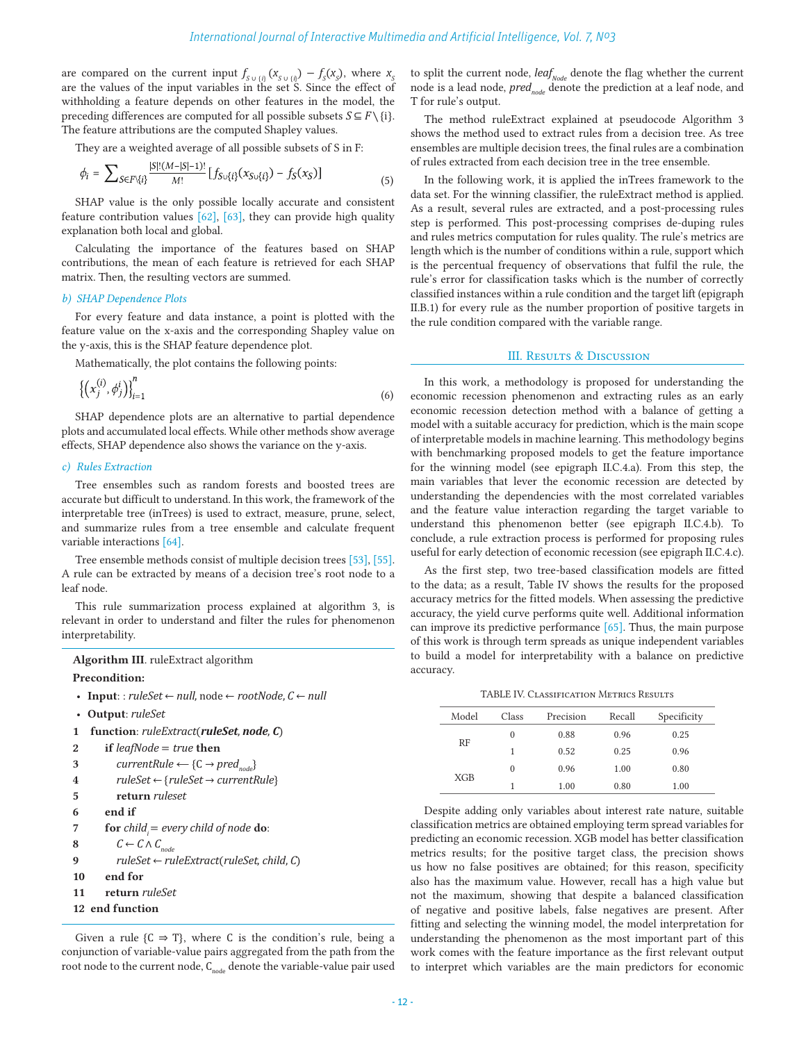are compared on the current input  $f_{S \cup {i}}(X_{S \cup {i}}) - f_{S}(X_{S})$ , where  $X_{S}$ are the values of the input variables in the set S. Since the effect of withholding a feature depends on other features in the model, the preceding differences are computed for all possible subsets  $S \subseteq F \setminus \{i\}$ . The feature attributions are the computed Shapley values.

They are a weighted average of all possible subsets of S in F:

$$
\phi_i = \sum_{S \in F \setminus \{i\}} \frac{|S|!(M-|S|-1)!}{M!} [f_{S \cup \{i\}}(x_{S \cup \{i\}}) - f_S(x_S)] \tag{5}
$$

SHAP value is the only possible locally accurate and consistent feature contribution values [62], [63], they can provide high quality explanation both local and global.

Calculating the importance of the features based on SHAP contributions, the mean of each feature is retrieved for each SHAP matrix. Then, the resulting vectors are summed.

#### *b) SHAP Dependence Plots*

For every feature and data instance, a point is plotted with the feature value on the x-axis and the corresponding Shapley value on the y-axis, this is the SHAP feature dependence plot.

Mathematically, the plot contains the following points:

$$
\{(x_j^{(i)}, \phi_j^i)\}_{i=1}^n \tag{6}
$$

SHAP dependence plots are an alternative to partial dependence plots and accumulated local effects. While other methods show average effects, SHAP dependence also shows the variance on the y-axis.

# *c) Rules Extraction*

Tree ensembles such as random forests and boosted trees are accurate but difficult to understand. In this work, the framework of the interpretable tree (inTrees) is used to extract, measure, prune, select, and summarize rules from a tree ensemble and calculate frequent variable interactions [64].

Tree ensemble methods consist of multiple decision trees [53], [55]. A rule can be extracted by means of a decision tree's root node to a leaf node.

This rule summarization process explained at algorithm 3, is relevant in order to understand and filter the rules for phenomenon interpretability.

```
Algorithm III. ruleExtract algorithm
```
# **Precondition:**

- **Input**: : *ruleSet* ← *null*, node ← *rootNode*, *C* ← *null*
- **Output**: *ruleSet*
- **1 function**: *ruleExtract*(*ruleSet*, *node*, *C*)

```
2 if leafNode = true then
```

```
3 currentRule \leftarrow {C \rightarrow pred<sub>node</sub>}
```

```
4 ruleSet ← {ruleSet → currentRule}
```
- **5 return** *ruleset*
- **6 end if**
- *7* **for** *child*<sub>*i</sub>* = *every child of node* **do**:</sub>
- **8**  $C \leftarrow C \wedge C_{node}$

```
9 ruleSet ← ruleExtract(ruleSet, child, C)
```
- **10 end for**
- **11 return** *ruleSet*

```
12 end function
```
Given a rule  ${C \Rightarrow T}$ , where C is the condition's rule, being a conjunction of variable-value pairs aggregated from the path from the root node to the current node,  $C_{node}$  denote the variable-value pair used to split the current node,  $\textit{leaf}_\textit{Node}$  denote the flag whether the current node is a lead node, *pred<sub>node</sub>* denote the prediction at a leaf node, and T for rule's output.

The method ruleExtract explained at pseudocode Algorithm 3 shows the method used to extract rules from a decision tree. As tree ensembles are multiple decision trees, the final rules are a combination of rules extracted from each decision tree in the tree ensemble.

In the following work, it is applied the inTrees framework to the data set. For the winning classifier, the ruleExtract method is applied. As a result, several rules are extracted, and a post-processing rules step is performed. This post-processing comprises de-duping rules and rules metrics computation for rules quality. The rule's metrics are length which is the number of conditions within a rule, support which is the percentual frequency of observations that fulfil the rule, the rule's error for classification tasks which is the number of correctly classified instances within a rule condition and the target lift (epigraph II.B.1) for every rule as the number proportion of positive targets in the rule condition compared with the variable range.

# III. RESULTS & DISCUSSION

In this work, a methodology is proposed for understanding the economic recession phenomenon and extracting rules as an early economic recession detection method with a balance of getting a model with a suitable accuracy for prediction, which is the main scope of interpretable models in machine learning. This methodology begins with benchmarking proposed models to get the feature importance for the winning model (see epigraph II.C.4.a). From this step, the main variables that lever the economic recession are detected by understanding the dependencies with the most correlated variables and the feature value interaction regarding the target variable to understand this phenomenon better (see epigraph II.C.4.b). To conclude, a rule extraction process is performed for proposing rules useful for early detection of economic recession (see epigraph II.C.4.c).

As the first step, two tree-based classification models are fitted to the data; as a result, Table IV shows the results for the proposed accuracy metrics for the fitted models. When assessing the predictive accuracy, the yield curve performs quite well. Additional information can improve its predictive performance [65]. Thus, the main purpose of this work is through term spreads as unique independent variables to build a model for interpretability with a balance on predictive accuracy.

TABLE IV. Classification Metrics Results

| Model      | Class | Precision | Recall | Specificity |
|------------|-------|-----------|--------|-------------|
|            | 0     | 0.88      | 0.96   | 0.25        |
| RF         | 1     | 0.52      | 0.25   | 0.96        |
| <b>XGB</b> | 0     | 0.96      | 1.00   | 0.80        |
|            |       | 1.00      | 0.80   | 1.00        |

Despite adding only variables about interest rate nature, suitable classification metrics are obtained employing term spread variables for predicting an economic recession. XGB model has better classification metrics results; for the positive target class, the precision shows us how no false positives are obtained; for this reason, specificity also has the maximum value. However, recall has a high value but not the maximum, showing that despite a balanced classification of negative and positive labels, false negatives are present. After fitting and selecting the winning model, the model interpretation for understanding the phenomenon as the most important part of this work comes with the feature importance as the first relevant output to interpret which variables are the main predictors for economic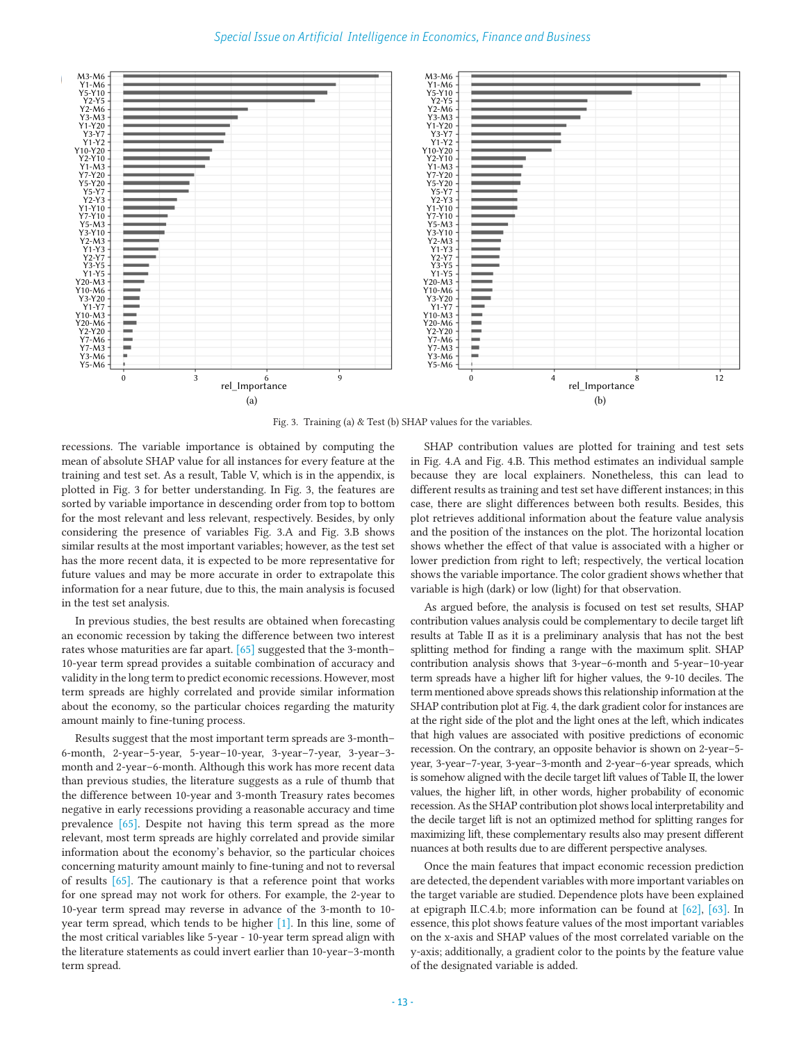

Fig. 3. Training (a) & Test (b) SHAP values for the variables.

recessions. The variable importance is obtained by computing the mean of absolute SHAP value for all instances for every feature at the training and test set. As a result, Table V, which is in the appendix, is plotted in Fig. 3 for better understanding. In Fig. 3, the features are sorted by variable importance in descending order from top to bottom for the most relevant and less relevant, respectively. Besides, by only considering the presence of variables Fig. 3.A and Fig. 3.B shows similar results at the most important variables; however, as the test set has the more recent data, it is expected to be more representative for future values and may be more accurate in order to extrapolate this information for a near future, due to this, the main analysis is focused in the test set analysis.

In previous studies, the best results are obtained when forecasting an economic recession by taking the difference between two interest rates whose maturities are far apart.  $[65]$  suggested that the 3-month-10-year term spread provides a suitable combination of accuracy and validity in the long term to predict economic recessions. However, most term spreads are highly correlated and provide similar information about the economy, so the particular choices regarding the maturity amount mainly to fine-tuning process.

Results suggest that the most important term spreads are 3-month– 6-month, 2-year–5-year, 5-year–10-year, 3-year–7-year, 3-year–3 month and 2-year–6-month. Although this work has more recent data than previous studies, the literature suggests as a rule of thumb that the difference between 10-year and 3-month Treasury rates becomes negative in early recessions providing a reasonable accuracy and time prevalence [65]. Despite not having this term spread as the more relevant, most term spreads are highly correlated and provide similar information about the economy's behavior, so the particular choices concerning maturity amount mainly to fine-tuning and not to reversal of results [65]. The cautionary is that a reference point that works for one spread may not work for others. For example, the 2-year to 10-year term spread may reverse in advance of the 3-month to 10 year term spread, which tends to be higher [1]. In this line, some of the most critical variables like 5-year - 10-year term spread align with the literature statements as could invert earlier than 10-year–3-month term spread.

SHAP contribution values are plotted for training and test sets in Fig. 4.A and Fig. 4.B. This method estimates an individual sample because they are local explainers. Nonetheless, this can lead to different results as training and test set have different instances; in this case, there are slight differences between both results. Besides, this plot retrieves additional information about the feature value analysis and the position of the instances on the plot. The horizontal location shows whether the effect of that value is associated with a higher or lower prediction from right to left; respectively, the vertical location shows the variable importance. The color gradient shows whether that variable is high (dark) or low (light) for that observation.

As argued before, the analysis is focused on test set results, SHAP contribution values analysis could be complementary to decile target lift results at Table II as it is a preliminary analysis that has not the best splitting method for finding a range with the maximum split. SHAP contribution analysis shows that 3-year–6-month and 5-year–10-year term spreads have a higher lift for higher values, the 9-10 deciles. The term mentioned above spreads shows this relationship information at the SHAP contribution plot at Fig. 4, the dark gradient color for instances are at the right side of the plot and the light ones at the left, which indicates that high values are associated with positive predictions of economic recession. On the contrary, an opposite behavior is shown on 2-year–5 year, 3-year–7-year, 3-year–3-month and 2-year–6-year spreads, which is somehow aligned with the decile target lift values of Table II, the lower values, the higher lift, in other words, higher probability of economic recession. As the SHAP contribution plot shows local interpretability and the decile target lift is not an optimized method for splitting ranges for maximizing lift, these complementary results also may present different nuances at both results due to are different perspective analyses.

Once the main features that impact economic recession prediction are detected, the dependent variables with more important variables on the target variable are studied. Dependence plots have been explained at epigraph II.C.4.b; more information can be found at [62], [63]. In essence, this plot shows feature values of the most important variables on the x-axis and SHAP values of the most correlated variable on the y-axis; additionally, a gradient color to the points by the feature value of the designated variable is added.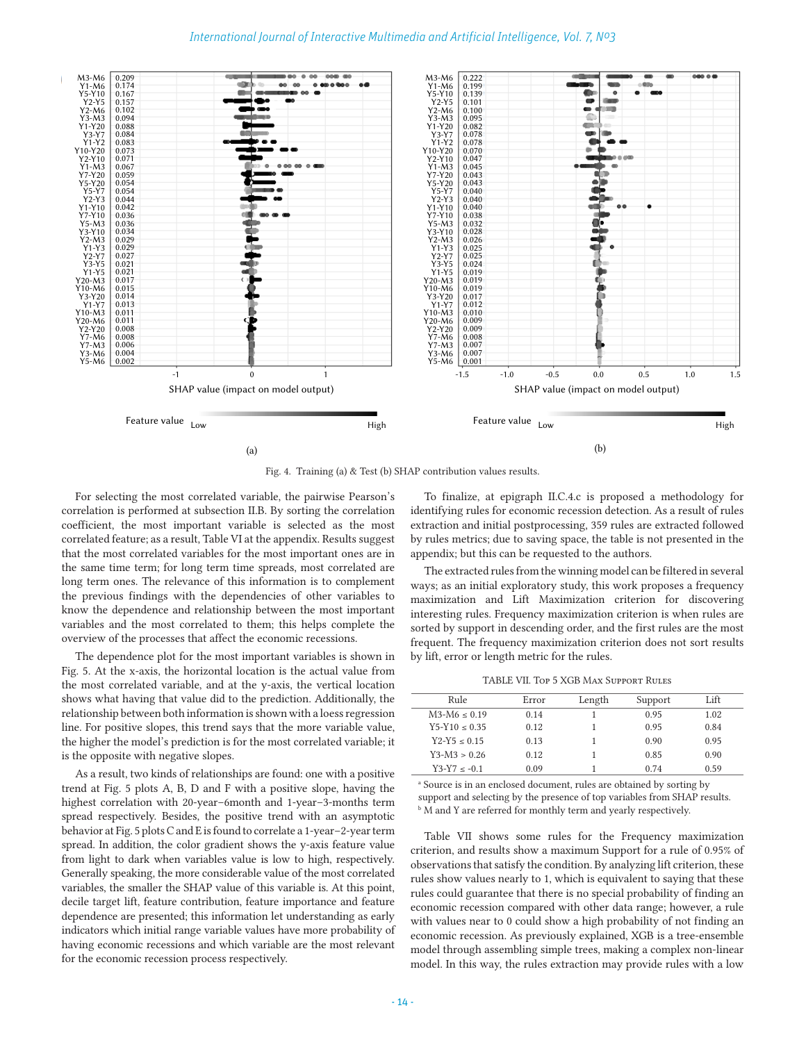

Fig. 4. Training (a) & Test (b) SHAP contribution values results.

For selecting the most correlated variable, the pairwise Pearson's correlation is performed at subsection II.B. By sorting the correlation coefficient, the most important variable is selected as the most correlated feature; as a result, Table VI at the appendix. Results suggest that the most correlated variables for the most important ones are in the same time term; for long term time spreads, most correlated are long term ones. The relevance of this information is to complement the previous findings with the dependencies of other variables to know the dependence and relationship between the most important variables and the most correlated to them; this helps complete the overview of the processes that affect the economic recessions.

The dependence plot for the most important variables is shown in Fig. 5. At the x-axis, the horizontal location is the actual value from the most correlated variable, and at the y-axis, the vertical location shows what having that value did to the prediction. Additionally, the relationship between both information is shown with a loess regression line. For positive slopes, this trend says that the more variable value, the higher the model's prediction is for the most correlated variable; it is the opposite with negative slopes.

As a result, two kinds of relationships are found: one with a positive trend at Fig. 5 plots A, B, D and F with a positive slope, having the highest correlation with 20-year–6month and 1-year–3-months term spread respectively. Besides, the positive trend with an asymptotic behavior at Fig. 5 plots C and E is found to correlate a 1-year–2-year term spread. In addition, the color gradient shows the y-axis feature value from light to dark when variables value is low to high, respectively. Generally speaking, the more considerable value of the most correlated variables, the smaller the SHAP value of this variable is. At this point, decile target lift, feature contribution, feature importance and feature dependence are presented; this information let understanding as early indicators which initial range variable values have more probability of having economic recessions and which variable are the most relevant for the economic recession process respectively.

To finalize, at epigraph II.C.4.c is proposed a methodology for identifying rules for economic recession detection. As a result of rules extraction and initial postprocessing, 359 rules are extracted followed by rules metrics; due to saving space, the table is not presented in the appendix; but this can be requested to the authors.

The extracted rules from the winning model can be filtered in several ways; as an initial exploratory study, this work proposes a frequency maximization and Lift Maximization criterion for discovering interesting rules. Frequency maximization criterion is when rules are sorted by support in descending order, and the first rules are the most frequent. The frequency maximization criterion does not sort results by lift, error or length metric for the rules.

TABLE VII. Top 5 XGB Max Support Rules

| Rule             | Error | Length | Support | Lift |
|------------------|-------|--------|---------|------|
| $M3-M6 < 0.19$   | 0.14  |        | 0.95    | 1.02 |
| $Y5-Y10 < 0.35$  | 0.12  |        | 0.95    | 0.84 |
| $Y2-Y5 \le 0.15$ | 0.13  |        | 0.90    | 0.95 |
| $Y3-M3 > 0.26$   | 0.12  |        | 0.85    | 0.90 |
| $Y3-Y7 < -0.1$   | 0.09  |        | 0.74    | 0.59 |

<sup>a</sup> Source is in an enclosed document, rules are obtained by sorting by support and selecting by the presence of top variables from SHAP results. **M** and Y are referred for monthly term and yearly respectively.

Table VII shows some rules for the Frequency maximization criterion, and results show a maximum Support for a rule of 0.95% of observations that satisfy the condition. By analyzing lift criterion, these rules show values nearly to 1, which is equivalent to saying that these rules could guarantee that there is no special probability of finding an economic recession compared with other data range; however, a rule with values near to 0 could show a high probability of not finding an economic recession. As previously explained, XGB is a tree-ensemble model through assembling simple trees, making a complex non-linear model. In this way, the rules extraction may provide rules with a low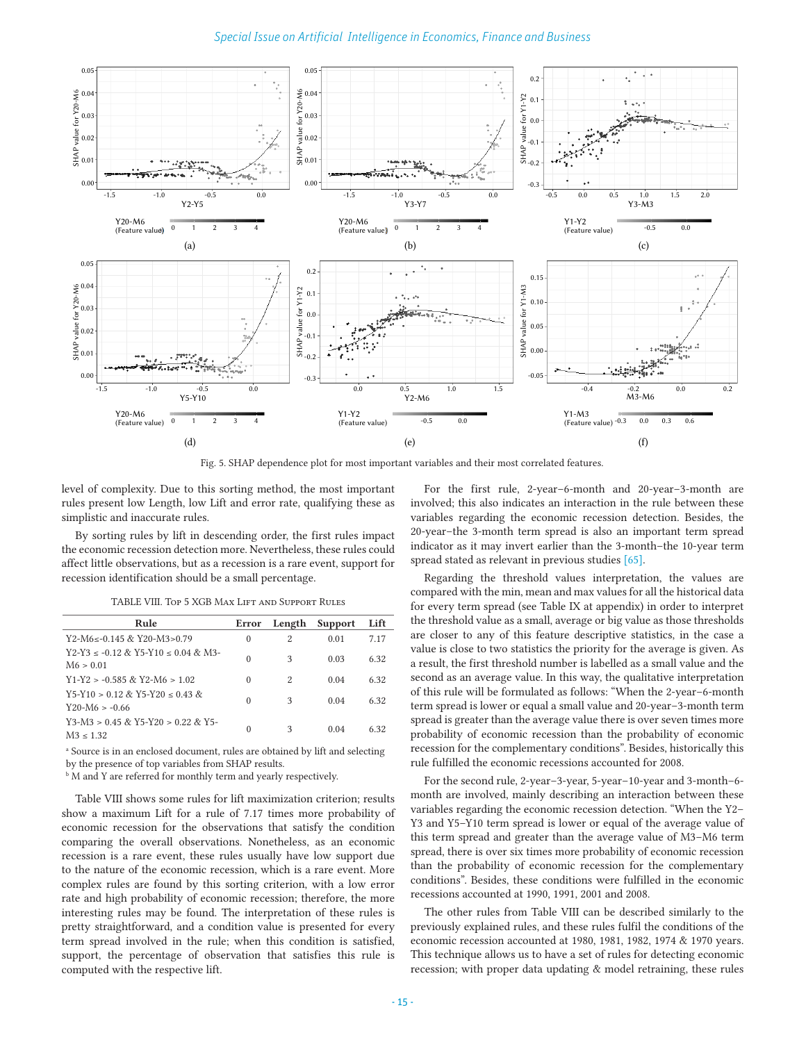# *Special Issue on Artificial Intelligence in Economics, Finance and Business*



Fig. 5. SHAP dependence plot for most important variables and their most correlated features.

level of complexity. Due to this sorting method, the most important rules present low Length, low Lift and error rate, qualifying these as simplistic and inaccurate rules.

By sorting rules by lift in descending order, the first rules impact the economic recession detection more. Nevertheless, these rules could affect little observations, but as a recession is a rare event, support for recession identification should be a small percentage.

TABLE VIII. Top 5 XGB Max Lift and Support Rules

| Rule                                                       | Error    | Length | Support | Lift |
|------------------------------------------------------------|----------|--------|---------|------|
| Y2-M6<-0.145 & Y20-M3>0.79                                 | $\Omega$ | 2      | 0.01    | 7.17 |
| $Y2-Y3 \le -0.12 \& Y5-Y10 \le 0.04 \& M3-$<br>M6 > 0.01   | $\theta$ | 3      | 0.03    | 6.32 |
| $Y1-Y2 > -0.585$ & Y2-M6 $> 1.02$                          | $\Omega$ | 2      | 0.04    | 6.32 |
| $Y5-Y10 > 0$ 12 & Y5-Y20 < 0.43 &<br>$Y20-M6 > -0.66$      | $\theta$ | 3      | 0.04    | 6.32 |
| $Y3-M3 > 0.45$ & $Y5-Y20 > 0.22$ & $Y5-Z$<br>$M3 \le 1.32$ | $\theta$ | 3      | 0.04    | 6.32 |

<sup>a</sup> Source is in an enclosed document, rules are obtained by lift and selecting by the presence of top variables from SHAP results.

**M** and Y are referred for monthly term and yearly respectively.

Table VIII shows some rules for lift maximization criterion; results show a maximum Lift for a rule of 7.17 times more probability of economic recession for the observations that satisfy the condition comparing the overall observations. Nonetheless, as an economic recession is a rare event, these rules usually have low support due to the nature of the economic recession, which is a rare event. More complex rules are found by this sorting criterion, with a low error rate and high probability of economic recession; therefore, the more interesting rules may be found. The interpretation of these rules is pretty straightforward, and a condition value is presented for every term spread involved in the rule; when this condition is satisfied, support, the percentage of observation that satisfies this rule is computed with the respective lift.

For the first rule, 2-year–6-month and 20-year–3-month are involved; this also indicates an interaction in the rule between these variables regarding the economic recession detection. Besides, the 20-year–the 3-month term spread is also an important term spread indicator as it may invert earlier than the 3-month–the 10-year term spread stated as relevant in previous studies [65].

Regarding the threshold values interpretation, the values are compared with the min, mean and max values for all the historical data for every term spread (see Table IX at appendix) in order to interpret the threshold value as a small, average or big value as those thresholds are closer to any of this feature descriptive statistics, in the case a value is close to two statistics the priority for the average is given. As a result, the first threshold number is labelled as a small value and the second as an average value. In this way, the qualitative interpretation of this rule will be formulated as follows: "When the 2-year–6-month term spread is lower or equal a small value and 20-year–3-month term spread is greater than the average value there is over seven times more probability of economic recession than the probability of economic recession for the complementary conditions". Besides, historically this rule fulfilled the economic recessions accounted for 2008.

For the second rule, 2-year–3-year, 5-year–10-year and 3-month–6 month are involved, mainly describing an interaction between these variables regarding the economic recession detection. "When the Y2– Y3 and Y5–Y10 term spread is lower or equal of the average value of this term spread and greater than the average value of M3–M6 term spread, there is over six times more probability of economic recession than the probability of economic recession for the complementary conditions". Besides, these conditions were fulfilled in the economic recessions accounted at 1990, 1991, 2001 and 2008.

The other rules from Table VIII can be described similarly to the previously explained rules, and these rules fulfil the conditions of the economic recession accounted at 1980, 1981, 1982, 1974 & 1970 years. This technique allows us to have a set of rules for detecting economic recession; with proper data updating & model retraining, these rules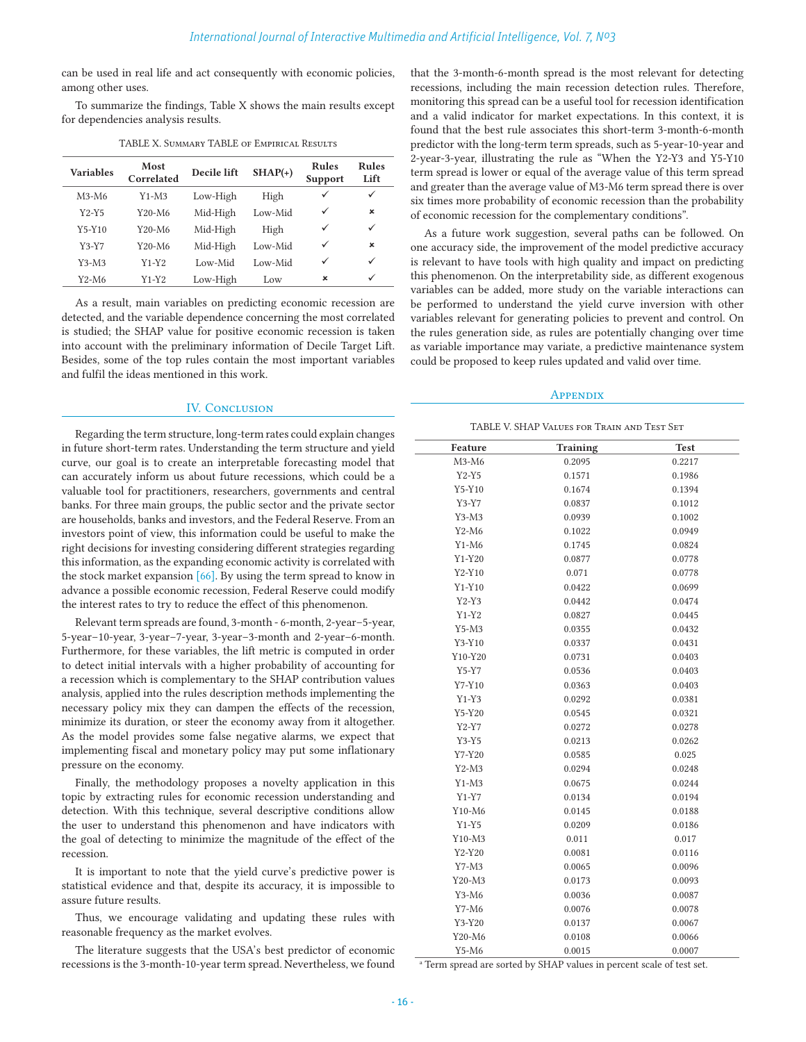can be used in real life and act consequently with economic policies, among other uses.

To summarize the findings, Table X shows the main results except for dependencies analysis results.

| <b>Variables</b> | Most<br>Correlated              | Decile lift | $SHAP(+)$ | <b>Rules</b><br>Support | <b>Rules</b><br>Lift |
|------------------|---------------------------------|-------------|-----------|-------------------------|----------------------|
| $M3-M6$          | $Y1-M3$                         | Low-High    | High      | ✓                       | ✓                    |
| $Y2-Y5$          | Y20-M6                          | Mid-High    | Low-Mid   | ✓                       | $\mathbf x$          |
| $Y5-Y10$         | Y20-M6                          | Mid-High    | High      | ✓                       | ✓                    |
| $Y3-Y7$          | Y <sub>20</sub> -M <sub>6</sub> | Mid-High    | Low-Mid   | ✓                       | $\mathbf x$          |
| $Y3-M3$          | $Y1-Y2$                         | Low-Mid     | Low-Mid   | ✓                       | ✓                    |
| Y2-M6            | $Y1-Y2$                         | Low-High    | Low       | ×                       | ✓                    |

TABLE X. Summary TABLE of Empirical Results

As a result, main variables on predicting economic recession are detected, and the variable dependence concerning the most correlated is studied; the SHAP value for positive economic recession is taken into account with the preliminary information of Decile Target Lift. Besides, some of the top rules contain the most important variables and fulfil the ideas mentioned in this work.

# IV. CONCLUSION

Regarding the term structure, long-term rates could explain changes in future short-term rates. Understanding the term structure and yield curve, our goal is to create an interpretable forecasting model that can accurately inform us about future recessions, which could be a valuable tool for practitioners, researchers, governments and central banks. For three main groups, the public sector and the private sector are households, banks and investors, and the Federal Reserve. From an investors point of view, this information could be useful to make the right decisions for investing considering different strategies regarding this information, as the expanding economic activity is correlated with the stock market expansion [66]. By using the term spread to know in advance a possible economic recession, Federal Reserve could modify the interest rates to try to reduce the effect of this phenomenon.

Relevant term spreads are found, 3-month - 6-month, 2-year–5-year, 5-year–10-year, 3-year–7-year, 3-year–3-month and 2-year–6-month. Furthermore, for these variables, the lift metric is computed in order to detect initial intervals with a higher probability of accounting for a recession which is complementary to the SHAP contribution values analysis, applied into the rules description methods implementing the necessary policy mix they can dampen the effects of the recession, minimize its duration, or steer the economy away from it altogether. As the model provides some false negative alarms, we expect that implementing fiscal and monetary policy may put some inflationary pressure on the economy.

Finally, the methodology proposes a novelty application in this topic by extracting rules for economic recession understanding and detection. With this technique, several descriptive conditions allow the user to understand this phenomenon and have indicators with the goal of detecting to minimize the magnitude of the effect of the recession.

It is important to note that the yield curve's predictive power is statistical evidence and that, despite its accuracy, it is impossible to assure future results.

Thus, we encourage validating and updating these rules with reasonable frequency as the market evolves.

The literature suggests that the USA's best predictor of economic recessions is the 3-month-10-year term spread. Nevertheless, we found that the 3-month-6-month spread is the most relevant for detecting recessions, including the main recession detection rules. Therefore, monitoring this spread can be a useful tool for recession identification and a valid indicator for market expectations. In this context, it is found that the best rule associates this short-term 3-month-6-month predictor with the long-term term spreads, such as 5-year-10-year and 2-year-3-year, illustrating the rule as "When the Y2-Y3 and Y5-Y10 term spread is lower or equal of the average value of this term spread and greater than the average value of M3-M6 term spread there is over six times more probability of economic recession than the probability of economic recession for the complementary conditions".

As a future work suggestion, several paths can be followed. On one accuracy side, the improvement of the model predictive accuracy is relevant to have tools with high quality and impact on predicting this phenomenon. On the interpretability side, as different exogenous variables can be added, more study on the variable interactions can be performed to understand the yield curve inversion with other variables relevant for generating policies to prevent and control. On the rules generation side, as rules are potentially changing over time as variable importance may variate, a predictive maintenance system could be proposed to keep rules updated and valid over time.

# **APPENDIX**

TABLE V. SHAP Values for Train and Test Set

| Feature  | <b>Training</b> | <b>Test</b> |
|----------|-----------------|-------------|
| $M3-M6$  | 0.2095          | 0.2217      |
| $Y2-Y5$  | 0.1571          | 0.1986      |
| $Y5-Y10$ | 0.1674          | 0.1394      |
| $Y3-Y7$  | 0.0837          | 0.1012      |
| $Y3-M3$  | 0.0939          | 0.1002      |
| $Y2-M6$  | 0.1022          | 0.0949      |
| $Y1-M6$  | 0.1745          | 0.0824      |
| $Y1-Y20$ | 0.0877          | 0.0778      |
| $Y2-Y10$ | 0.071           | 0.0778      |
| $Y1-Y10$ | 0.0422          | 0.0699      |
| $Y2-Y3$  | 0.0442          | 0.0474      |
| $Y1-Y2$  | 0.0827          | 0.0445      |
| $Y5-M3$  | 0.0355          | 0.0432      |
| $Y3-Y10$ | 0.0337          | 0.0431      |
| Y10-Y20  | 0.0731          | 0.0403      |
| $Y5-Y7$  | 0.0536          | 0.0403      |
| Y7-Y10   | 0.0363          | 0.0403      |
| $Y1-Y3$  | 0.0292          | 0.0381      |
| $Y5-Y20$ | 0.0545          | 0.0321      |
| $Y2-Y7$  | 0.0272          | 0.0278      |
| $Y3-Y5$  | 0.0213          | 0.0262      |
| Y7-Y20   | 0.0585          | 0.025       |
| $Y2-M3$  | 0.0294          | 0.0248      |
| $Y1-M3$  | 0.0675          | 0.0244      |
| $Y1-Y7$  | 0.0134          | 0.0194      |
| $Y10-M6$ | 0.0145          | 0.0188      |
| $Y1-Y5$  | 0.0209          | 0.0186      |
| $Y10-M3$ | 0.011           | 0.017       |
| $Y2-Y20$ | 0.0081          | 0.0116      |
| $Y7-M3$  | 0.0065          | 0.0096      |
| Y20-M3   | 0.0173          | 0.0093      |
| $Y3-M6$  | 0.0036          | 0.0087      |
| $Y7-M6$  | 0.0076          | 0.0078      |
| Y3-Y20   | 0.0137          | 0.0067      |
| Y20-M6   | 0.0108          | 0.0066      |
| $Y5-M6$  | 0.0015          | 0.0007      |

<sup>a</sup> Term spread are sorted by SHAP values in percent scale of test set.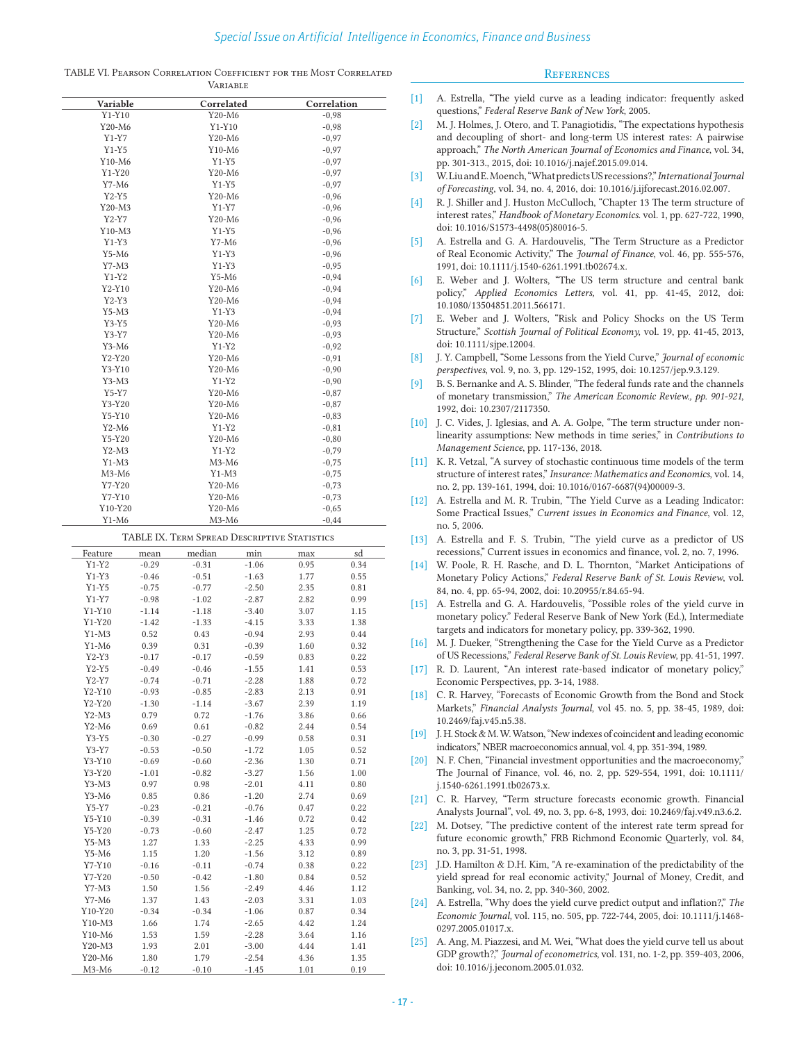|  | TABLE VI. PEARSON CORRELATION COEFFICIENT FOR THE MOST CORRELATED |                |  |  |  |
|--|-------------------------------------------------------------------|----------------|--|--|--|
|  |                                                                   | $\overline{V}$ |  |  |  |

# **REFERENCES**

|          |         | VARIABLE                                     |         |                    |         |  |  |
|----------|---------|----------------------------------------------|---------|--------------------|---------|--|--|
| Variable |         | Correlated                                   |         | Correlation        |         |  |  |
| $Y1-Y10$ |         | Y20-M6                                       |         | $-0,98$            |         |  |  |
| Y20-M6   |         | $Y1-Y10$                                     |         |                    | $-0,98$ |  |  |
| Y1-Y7    |         | Y20-M6                                       |         | $-0,97$            |         |  |  |
| $Y1-Y5$  |         | $Y10-M6$                                     |         | $-0,97$            |         |  |  |
| Y10-M6   |         | Y1-Y5                                        |         | $-0,97$            |         |  |  |
| $Y1-Y20$ |         | Y20-M6                                       |         | $-0,97$            |         |  |  |
| Y7-M6    |         | $Y1-Y5$                                      |         | $-0,97$            |         |  |  |
| $Y2-Y5$  |         | Y20-M6                                       |         | $-0,96$            |         |  |  |
| Y20-M3   |         | Y1-Y7                                        |         | $-0,96$            |         |  |  |
| $Y2-Y7$  |         | Y20-M6                                       |         | $-0,96$            |         |  |  |
| Y10-M3   |         | $Y1-Y5$                                      |         |                    |         |  |  |
|          |         |                                              |         | $-0,96$            |         |  |  |
| $Y1-Y3$  |         | Y7-M6                                        |         | $-0,96$            |         |  |  |
| Y5-M6    |         | Y1-Y3                                        |         | $-0,96$            |         |  |  |
| Y7-M3    |         | $Y1-Y3$                                      |         | $-0,95$            |         |  |  |
| $Y1-Y2$  |         | Y5-M6                                        |         | $-0,94$            |         |  |  |
| Y2-Y10   |         | Y20-M6                                       |         | $-0,94$            |         |  |  |
| $Y2-Y3$  |         | Y20-M6                                       |         | $-0,94$            |         |  |  |
| Y5-M3    |         | Y1-Y3                                        |         | $-0,94$            |         |  |  |
| $Y3-Y5$  |         | Y20-M6                                       |         | $-0,93$            |         |  |  |
| Y3-Y7    |         | Y20-M6                                       |         | $-0,93$            |         |  |  |
| Y3-M6    |         | $Y1-Y2$                                      |         | $-0,92$            |         |  |  |
| Y2-Y20   |         | Y20-M6                                       |         | $-0,91$            |         |  |  |
| Y3-Y10   |         | Y20-M6                                       |         | $-0,90$            |         |  |  |
| Y3-M3    |         |                                              | Y1-Y2   |                    | $-0,90$ |  |  |
| Y5-Y7    |         | Y20-M6                                       |         | $-0,87$            |         |  |  |
| Y3-Y20   |         | Y20-M6                                       |         | $-0,87$            |         |  |  |
| Y5-Y10   |         | Y20-M6                                       |         | $-0.83$            |         |  |  |
| Y2-M6    |         | Y1-Y2                                        |         | $-0,81$            |         |  |  |
| Y5-Y20   |         | $Y20-M6$                                     |         | $-0,80$            |         |  |  |
| $Y2-M3$  |         | $Y1-Y2$                                      |         | $-0,79$            |         |  |  |
| Y1-M3    |         | M3-M6                                        |         | $-0,75$            |         |  |  |
| $M3-M6$  |         | $Y1-M3$                                      |         | $-0,75$            |         |  |  |
| Y7-Y20   |         | Y20-M6                                       |         | $-0,73$            |         |  |  |
| Y7-Y10   |         | Y20-M6                                       |         |                    |         |  |  |
| Y10-Y20  |         | Y20-M6                                       |         | $-0,73$<br>$-0,65$ |         |  |  |
|          |         | $M3-M6$                                      |         | $-0,44$            |         |  |  |
| Y1-M6    |         |                                              |         |                    |         |  |  |
|          |         | TABLE IX. TERM SPREAD DESCRIPTIVE STATISTICS |         |                    |         |  |  |
| Feature  | mean    | median                                       | min     | max                | sd      |  |  |
| $Y1-Y2$  | $-0.29$ | $-0.31$                                      | $-1.06$ | 0.95               | 0.34    |  |  |
| $Y1-Y3$  | $-0.46$ | $-0.51$                                      | $-1.63$ | 1.77               | 0.55    |  |  |
| $Y1-Y5$  | $-0.75$ | $-0.77$                                      | $-2.50$ | 2.35               | 0.81    |  |  |
| Y1-Y7    | $-0.98$ | $-1.02$                                      | $-2.87$ | 2.82               | 0.99    |  |  |
| $Y1-Y10$ | $-1.14$ | $-1.18$                                      | $-3.40$ | 3.07               | 1.15    |  |  |
| $Y1-Y20$ | $-1.42$ | $-1.33$                                      | $-4.15$ | 3.33               | 1.38    |  |  |
| $Y1-M3$  | 0.52    | 0.43                                         | $-0.94$ | 2.93               | 0.44    |  |  |
| $Y1-M6$  | 0.39    | 0.31                                         | $-0.39$ | 1.60               | 0.32    |  |  |
| $Y2-Y3$  | $-0.17$ | $-0.17$                                      | $-0.59$ | 0.83               | 0.22    |  |  |
|          |         |                                              |         |                    |         |  |  |
| Y2-Y5    | $-0.49$ | $-0.46$                                      | $-1.55$ | 1.41               | 0.53    |  |  |
| $Y2-Y7$  | $-0.74$ | $-0.71$                                      | $-2.28$ | 1.88               | 0.72    |  |  |
| Y2-Y10   | $-0.93$ | $-0.85$                                      | $-2.83$ | 2.13               | 0.91    |  |  |
| Y2-Y20   | $-1.30$ | $-1.14$                                      | $-3.67$ | 2.39               | 1.19    |  |  |
| $Y2-M3$  | 0.79    | 0.72                                         | $-1.76$ | 3.86               | 0.66    |  |  |
| Y2-M6    | 0.69    | 0.61                                         | $-0.82$ | 2.44               | 0.54    |  |  |
| $Y3-Y5$  | $-0.30$ | $-0.27$                                      | $-0.99$ | 0.58               | 0.31    |  |  |
| Y3-Y7    | $-0.53$ | $-0.50$                                      | $-1.72$ | 1.05               | 0.52    |  |  |
| $Y3-Y10$ | $-0.69$ | $-0.60$                                      | $-2.36$ | 1.30               | 0.71    |  |  |
| Y3-Y20   | $-1.01$ | $-0.82$                                      | $-3.27$ | 1.56               | 1.00    |  |  |
| $Y3-M3$  | 0.97    | 0.98                                         | $-2.01$ | 4.11               | 0.80    |  |  |
| Y3-M6    | 0.85    | 0.86                                         | $-1.20$ | 2.74               | 0.69    |  |  |
| $Y5-Y7$  | $-0.23$ | $-0.21$                                      | $-0.76$ | 0.47               | 0.22    |  |  |
| Y5-Y10   | $-0.39$ | $-0.31$                                      | $-1.46$ | 0.72               | 0.42    |  |  |

Y5-Y20 -0.73 -0.60 -2.47 1.25 0.72 Y5-M3 1.27 1.33 -2.25 4.33 0.99 Y5-M6 1.15 1.20 -1.56 3.12 0.89 Y7-Y10 -0.16 -0.11 -0.74 0.38 0.22 Y7-Y20 -0.50 -0.42 -1.80 0.84 0.52 Y7-M3 1.50 1.56 -2.49 4.46 1.12 Y7-M6 1.37 1.43 -2.03 3.31 1.03 Y10-Y20 -0.34 -0.34 -1.06 0.87 0.34 Y10-M3 1.66 1.74 -2.65 4.42 1.24 Y10-M6 1.53 1.59 -2.28 3.64 1.16 Y20-M3 1.93 2.01 -3.00 4.44 1.41 Y20-M6 1.80 1.79 -2.54 4.36 1.35 M3-M6 -0.12 -0.10 -1.45 1.01 0.19

- [1] A. Estrella, "The yield curve as a leading indicator: frequently asked questions," *Federal Reserve Bank of New York*, 2005.
- [2] M. J. Holmes, J. Otero, and T. Panagiotidis, "The expectations hypothesis and decoupling of short- and long-term US interest rates: A pairwise approach," *The North American Journal of Economics and Finance*, vol. 34, pp. 301-313., 2015, doi: 10.1016/j.najef.2015.09.014.
- [3] W. Liu and E. Moench, "What predicts US recessions?," *International Journal of Forecasting*, vol. 34, no. 4, 2016, doi: 10.1016/j.ijforecast.2016.02.007.
- [4] R. J. Shiller and J. Huston McCulloch, "Chapter 13 The term structure of interest rates," *Handbook of Monetary Economics*. vol. 1, pp. 627-722, 1990, doi: 10.1016/S1573-4498(05)80016-5.
- [5] A. Estrella and G. A. Hardouvelis, "The Term Structure as a Predictor of Real Economic Activity," The *Journal of Finance*, vol. 46, pp. 555-576, 1991, doi: 10.1111/j.1540-6261.1991.tb02674.x.
- [6] E. Weber and J. Wolters, "The US term structure and central bank policy," *Applied Economics Letters,* vol. 41, pp. 41-45, 2012, doi: 10.1080/13504851.2011.566171.
- [7] E. Weber and J. Wolters, "Risk and Policy Shocks on the US Term Structure," *Scottish Journal of Political Economy,* vol. 19, pp. 41-45, 2013, doi: 10.1111/sjpe.12004.
- [8] J. Y. Campbell, "Some Lessons from the Yield Curve," *Journal of economic perspectives*, vol. 9, no. 3, pp. 129-152, 1995, doi: 10.1257/jep.9.3.129.
- [9] B. S. Bernanke and A. S. Blinder, "The federal funds rate and the channels of monetary transmission," *The American Economic Review., pp. 901-921*, 1992, doi: 10.2307/2117350.
- [10] J. C. Vides, J. Iglesias, and A. A. Golpe, "The term structure under nonlinearity assumptions: New methods in time series," in *Contributions to Management Science*, pp. 117-136, 2018.
- [11] K. R. Vetzal, "A survey of stochastic continuous time models of the term structure of interest rates," *Insurance: Mathematics and Economics*, vol. 14, no. 2, pp. 139-161, 1994, doi: 10.1016/0167-6687(94)00009-3.
- [12] A. Estrella and M. R. Trubin, "The Yield Curve as a Leading Indicator: Some Practical Issues," *Current issues in Economics and Finance*, vol. 12, no. 5, 2006.
- [13] A. Estrella and F. S. Trubin, "The yield curve as a predictor of US recessions," Current issues in economics and finance, vol. 2, no. 7, 1996.
- [14] W. Poole, R. H. Rasche, and D. L. Thornton, "Market Anticipations of Monetary Policy Actions," *Federal Reserve Bank of St. Louis Review*, vol. 84, no. 4, pp. 65-94, 2002, doi: 10.20955/r.84.65-94.
- [15] A. Estrella and G. A. Hardouvelis, "Possible roles of the yield curve in monetary policy." Federal Reserve Bank of New York (Ed.), Intermediate targets and indicators for monetary policy, pp. 339-362, 1990.
- [16] M. J. Dueker, "Strengthening the Case for the Yield Curve as a Predictor of US Recessions," *Federal Reserve Bank of St. Louis Review*, pp. 41-51, 1997.
- [17] R. D. Laurent, "An interest rate-based indicator of monetary policy," Economic Perspectives, pp. 3-14, 1988.
- [18] C. R. Harvey, "Forecasts of Economic Growth from the Bond and Stock Markets," *Financial Analysts Journal*, vol 45. no. 5, pp. 38-45, 1989, doi: 10.2469/faj.v45.n5.38.
- [19] J. H. Stock & M. W. Watson, "New indexes of coincident and leading economic indicators," NBER macroeconomics annual, vol. 4, pp. 351-394, 1989.
- [20] N. F. Chen, "Financial investment opportunities and the macroeconomy," The Journal of Finance, vol. 46, no. 2, pp. 529-554, 1991, doi: 10.1111/ j.1540-6261.1991.tb02673.x.
- [21] C. R. Harvey, "Term structure forecasts economic growth. Financial Analysts Journal", vol. 49, no. 3, pp. 6-8, 1993, doi: 10.2469/faj.v49.n3.6.2.
- [22] M. Dotsey, "The predictive content of the interest rate term spread for future economic growth," FRB Richmond Economic Quarterly, vol. 84, no. 3, pp. 31-51, 1998.
- [23] J.D. Hamilton & D.H. Kim, "A re-examination of the predictability of the yield spread for real economic activity," Journal of Money, Credit, and Banking, vol. 34, no. 2, pp. 340-360, 2002.
- [24] A. Estrella, "Why does the yield curve predict output and inflation?," *The Economic Journal,* vol. 115, no. 505, pp. 722-744, 2005, doi: 10.1111/j.1468- 0297.2005.01017.x.
- [25] A. Ang, M. Piazzesi, and M. Wei, "What does the yield curve tell us about GDP growth?," *Journal of econometrics*, vol. 131, no. 1-2, pp. 359-403, 2006, doi: 10.1016/j.jeconom.2005.01.032.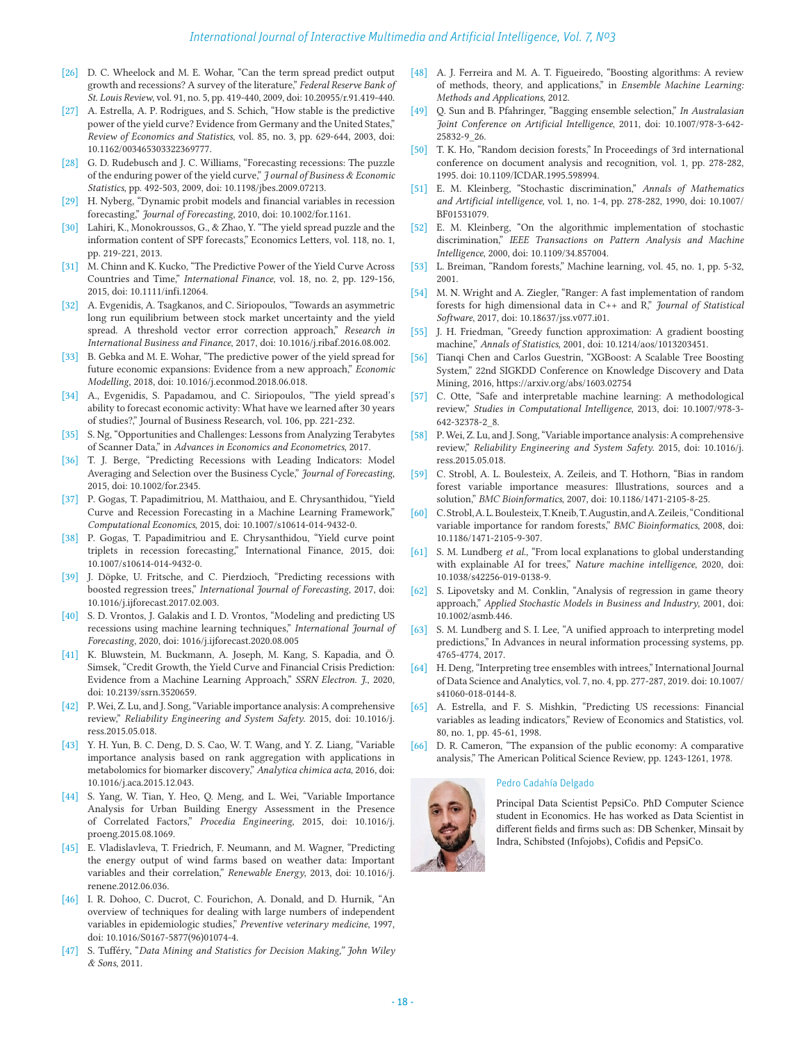- [26] D. C. Wheelock and M. E. Wohar, "Can the term spread predict output growth and recessions? A survey of the literature," *Federal Reserve Bank of St. Louis Review*, vol. 91, no. 5, pp. 419-440, 2009, doi: 10.20955/r.91.419-440.
- [27] A. Estrella, A. P. Rodrigues, and S. Schich, "How stable is the predictive power of the yield curve? Evidence from Germany and the United States," *Review of Economics and Statistics*, vol. 85, no. 3, pp. 629-644, 2003, doi: 10.1162/003465303322369777.
- [28] G. D. Rudebusch and J. C. Williams, "Forecasting recessions: The puzzle of the enduring power of the yield curve," *J ournal of Business & Economic Statistics*, pp. 492-503, 2009, doi: 10.1198/jbes.2009.07213.
- H. Nyberg, "Dynamic probit models and financial variables in recession forecasting," *Journal of Forecasting*, 2010, doi: 10.1002/for.1161.
- [30] Lahiri, K., Monokroussos, G., & Zhao, Y. "The yield spread puzzle and the information content of SPF forecasts," Economics Letters, vol. 118, no. 1, pp. 219-221, 2013.
- [31] M. Chinn and K. Kucko, "The Predictive Power of the Yield Curve Across Countries and Time," *International Finance*, vol. 18, no. 2, pp. 129-156, 2015, doi: 10.1111/infi.12064.
- [32] A. Evgenidis, A. Tsagkanos, and C. Siriopoulos, "Towards an asymmetric long run equilibrium between stock market uncertainty and the yield spread. A threshold vector error correction approach," *Research in International Business and Finance*, 2017, doi: 10.1016/j.ribaf.2016.08.002.
- [33] B. Gebka and M. E. Wohar, "The predictive power of the yield spread for future economic expansions: Evidence from a new approach," *Economic Modelling*, 2018, doi: 10.1016/j.econmod.2018.06.018.
- [34] A., Evgenidis, S. Papadamou, and C. Siriopoulos, "The yield spread's ability to forecast economic activity: What have we learned after 30 years of studies?," Journal of Business Research, vol. 106, pp. 221-232.
- [35] S. Ng, "Opportunities and Challenges: Lessons from Analyzing Terabytes of Scanner Data," in *Advances in Economics and Econometrics*, 2017.
- [36] T. J. Berge, "Predicting Recessions with Leading Indicators: Model Averaging and Selection over the Business Cycle," *Journal of Forecasting*, 2015, doi: 10.1002/for.2345.
- [37] P. Gogas, T. Papadimitriou, M. Matthaiou, and E. Chrysanthidou, "Yield Curve and Recession Forecasting in a Machine Learning Framework," *Computational Economics*, 2015, doi: 10.1007/s10614-014-9432-0.
- [38] P. Gogas, T. Papadimitriou and E. Chrysanthidou, "Yield curve point triplets in recession forecasting," International Finance, 2015, doi: 10.1007/s10614-014-9432-0.
- [39] J. Döpke, U. Fritsche, and C. Pierdzioch, "Predicting recessions with boosted regression trees," *International Journal of Forecasting*, 2017, doi: 10.1016/j.ijforecast.2017.02.003.
- [40] S. D. Vrontos, J. Galakis and I. D. Vrontos, "Modeling and predicting US recessions using machine learning techniques," *International Journal of Forecasting*, 2020, doi: 1016/j.ijforecast.2020.08.005
- [41] K. Bluwstein, M. Buckmann, A. Joseph, M. Kang, S. Kapadia, and Ö. Simsek, "Credit Growth, the Yield Curve and Financial Crisis Prediction: Evidence from a Machine Learning Approach," *SSRN Electron. J.*, 2020, doi: 10.2139/ssrn.3520659.
- [42] P. Wei, Z. Lu, and J. Song, "Variable importance analysis: A comprehensive review," *Reliability Engineering and System Safety*. 2015, doi: 10.1016/j. ress.2015.05.018.
- [43] Y. H. Yun, B. C. Deng, D. S. Cao, W. T. Wang, and Y. Z. Liang, "Variable importance analysis based on rank aggregation with applications in metabolomics for biomarker discovery," *Analytica chimica acta*, 2016, doi: 10.1016/j.aca.2015.12.043.
- [44] S. Yang, W. Tian, Y. Heo, Q. Meng, and L. Wei, "Variable Importance Analysis for Urban Building Energy Assessment in the Presence of Correlated Factors," *Procedia Engineering*, 2015, doi: 10.1016/j. proeng.2015.08.1069.
- [45] E. Vladislavleva, T. Friedrich, F. Neumann, and M. Wagner, "Predicting the energy output of wind farms based on weather data: Important variables and their correlation," *Renewable Energy*, 2013, doi: 10.1016/j. renene.2012.06.036.
- [46] I. R. Dohoo, C. Ducrot, C. Fourichon, A. Donald, and D. Hurnik, "An overview of techniques for dealing with large numbers of independent variables in epidemiologic studies," *Preventive veterinary medicine*, 1997, doi: 10.1016/S0167-5877(96)01074-4.
- [47] S. Tufféry, "*Data Mining and Statistics for Decision Making," John Wiley & Sons*, 2011.
- [48] A. J. Ferreira and M. A. T. Figueiredo, "Boosting algorithms: A review of methods, theory, and applications," in *Ensemble Machine Learning: Methods and Applications*, 2012.
- [49] Q. Sun and B. Pfahringer, "Bagging ensemble selection," *In Australasian Joint Conference on Artificial Intelligence*, 2011, doi: 10.1007/978-3-642- 25832-9\_26.
- [50] T. K. Ho, "Random decision forests," In Proceedings of 3rd international conference on document analysis and recognition, vol. 1, pp. 278-282, 1995. doi: 10.1109/ICDAR.1995.598994.
- [51] E. M. Kleinberg, "Stochastic discrimination," *Annals of Mathematics and Artificial intelligence,* vol. 1, no. 1-4, pp. 278-282, 1990, doi: 10.1007/ BF01531079.
- [52] E. M. Kleinberg, "On the algorithmic implementation of stochastic discrimination," *IEEE Transactions on Pattern Analysis and Machine Intelligence*, 2000, doi: 10.1109/34.857004.
- [53] L. Breiman, "Random forests," Machine learning, vol. 45, no. 1, pp. 5-32, 2001.
- [54] M. N. Wright and A. Ziegler, "Ranger: A fast implementation of random forests for high dimensional data in C++ and R," *Journal of Statistical Software*, 2017, doi: 10.18637/jss.v077.i01.
- [55] J. H. Friedman, "Greedy function approximation: A gradient boosting machine," *Annals of Statistics*, 2001, doi: 10.1214/aos/1013203451.
- [56] Tianqi Chen and Carlos Guestrin, "XGBoost: A Scalable Tree Boosting System," 22nd SIGKDD Conference on Knowledge Discovery and Data Mining, 2016, https://arxiv.org/abs/1603.02754
- [57] C. Otte, "Safe and interpretable machine learning: A methodological review," *Studies in Computational Intelligence*, 2013, doi: 10.1007/978-3- 642-32378-2\_8.
- [58] P. Wei, Z. Lu, and J. Song, "Variable importance analysis: A comprehensive review," *Reliability Engineering and System Safety*. 2015, doi: 10.1016/j. ress.2015.05.018.
- [59] C. Strobl, A. L. Boulesteix, A. Zeileis, and T. Hothorn, "Bias in random forest variable importance measures: Illustrations, sources and a solution," *BMC Bioinformatics*, 2007, doi: 10.1186/1471-2105-8-25.
- [60] C. Strobl, A. L. Boulesteix, T. Kneib, T. Augustin, and A. Zeileis, "Conditional variable importance for random forests," *BMC Bioinformatics*, 2008, doi: 10.1186/1471-2105-9-307.
- [61] S. M. Lundberg *et al.*, "From local explanations to global understanding with explainable AI for trees," *Nature machine intelligence*, 2020, doi: 10.1038/s42256-019-0138-9.
- [62] S. Lipovetsky and M. Conklin, "Analysis of regression in game theory approach," *Applied Stochastic Models in Business and Industry*, 2001, doi: 10.1002/asmb.446.
- [63] S. M. Lundberg and S. I. Lee, "A unified approach to interpreting model predictions," In Advances in neural information processing systems, pp. 4765-4774, 2017.
- [64] H. Deng, "Interpreting tree ensembles with intrees," International Journal of Data Science and Analytics, vol. 7, no. 4, pp. 277-287, 2019. doi: 10.1007/ s41060-018-0144-8.
- [65] A. Estrella, and F. S. Mishkin, "Predicting US recessions: Financial variables as leading indicators," Review of Economics and Statistics, vol. 80, no. 1, pp. 45-61, 1998.
- [66] D. R. Cameron, "The expansion of the public economy: A comparative analysis," The American Political Science Review, pp. 1243-1261, 1978.

# Pedro Cadahía Delgado



Principal Data Scientist PepsiCo. PhD Computer Science student in Economics. He has worked as Data Scientist in different fields and firms such as: DB Schenker, Minsait by Indra, Schibsted (Infojobs), Cofidis and PepsiCo.